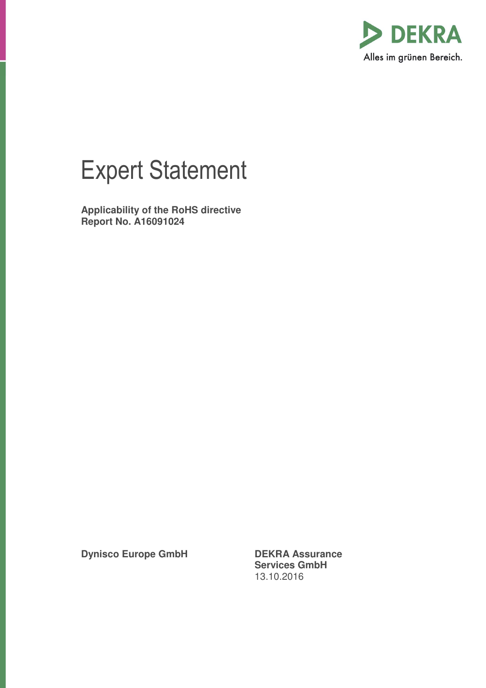

## Expert Statement

**Applicability of the RoHS directive Report No. A16091024** 

**Dynisco Europe GmbH DEKRA Assurance** 

**Services GmbH**  13.10.2016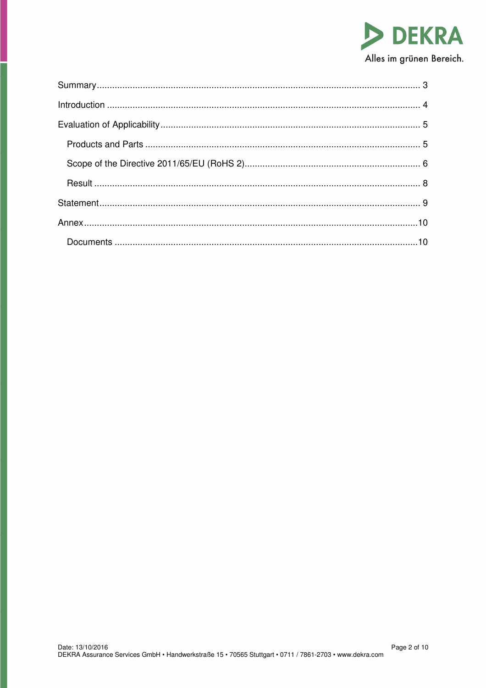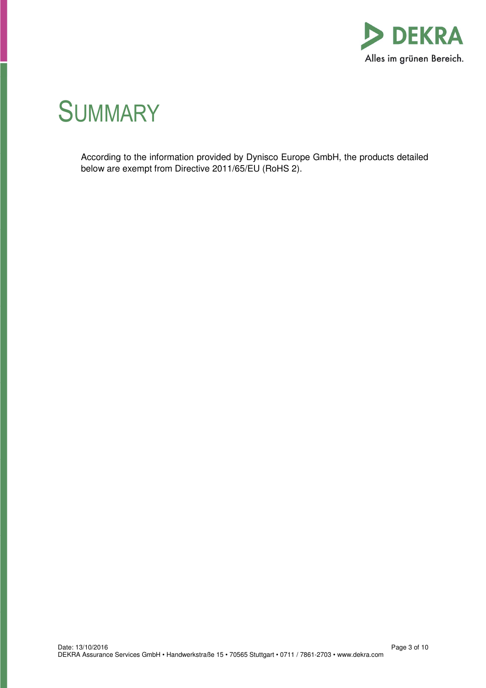

# **SUMMARY**

According to the information provided by Dynisco Europe GmbH, the products detailed below are exempt from Directive 2011/65/EU (RoHS 2).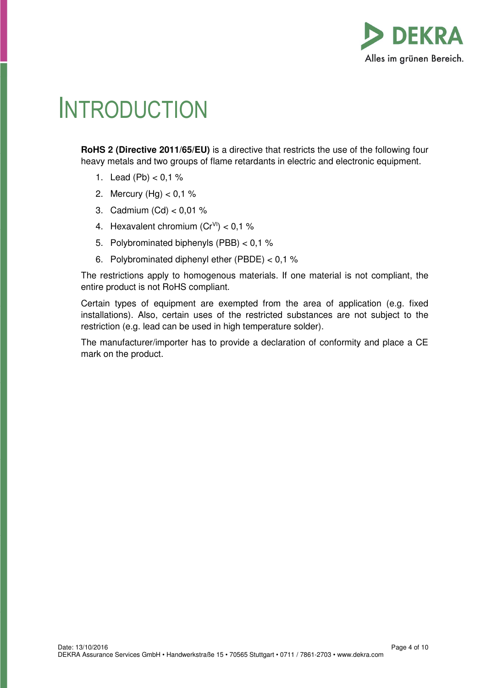

# **INTRODUCTION**

**RoHS 2 (Directive 2011/65/EU)** is a directive that restricts the use of the following four heavy metals and two groups of flame retardants in electric and electronic equipment.

- 1. Lead  $(Pb) < 0.1$  %
- 2. Mercury (Hg) < 0,1 %
- 3. Cadmium (Cd) < 0,01 %
- 4. Hexavalent chromium  $(Cr^{V1})$  < 0,1 %
- 5. Polybrominated biphenyls (PBB) < 0,1 %
- 6. Polybrominated diphenyl ether (PBDE) < 0,1 %

The restrictions apply to homogenous materials. If one material is not compliant, the entire product is not RoHS compliant.

Certain types of equipment are exempted from the area of application (e.g. fixed installations). Also, certain uses of the restricted substances are not subject to the restriction (e.g. lead can be used in high temperature solder).

The manufacturer/importer has to provide a declaration of conformity and place a CE mark on the product.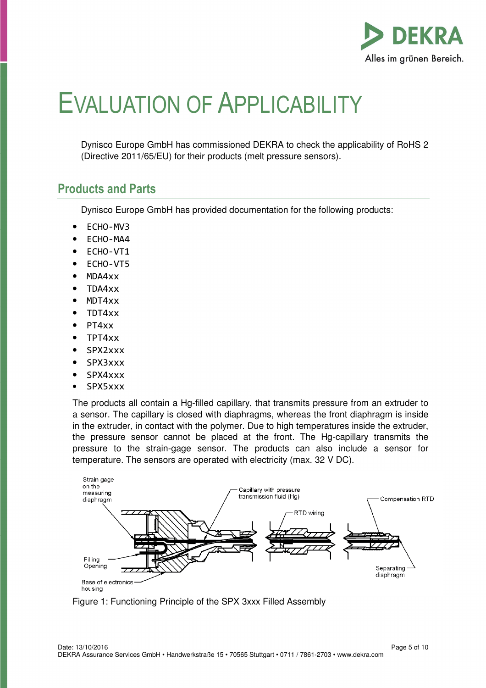

# EVALUATION OF APPLICABILITY

Dynisco Europe GmbH has commissioned DEKRA to check the applicability of RoHS 2 (Directive 2011/65/EU) for their products (melt pressure sensors).

### **Products and Parts**

Dynisco Europe GmbH has provided documentation for the following products:

- ECHO-MV3
- ECHO-MA4
- ECHO-VT1
- ECHO-VT5
- MDA4xx
- TDA4xx
- MDT4xx
- TDT4xx
- PT4xx
- TPT4xx
- SPX2xxx
- SPX3xxx
- SPX4xxx
- SPX5xxx

The products all contain a Hg-filled capillary, that transmits pressure from an extruder to a sensor. The capillary is closed with diaphragms, whereas the front diaphragm is inside in the extruder, in contact with the polymer. Due to high temperatures inside the extruder, the pressure sensor cannot be placed at the front. The Hg-capillary transmits the pressure to the strain-gage sensor. The products can also include a sensor for temperature. The sensors are operated with electricity (max. 32 V DC).



Figure 1: Functioning Principle of the SPX 3xxx Filled Assembly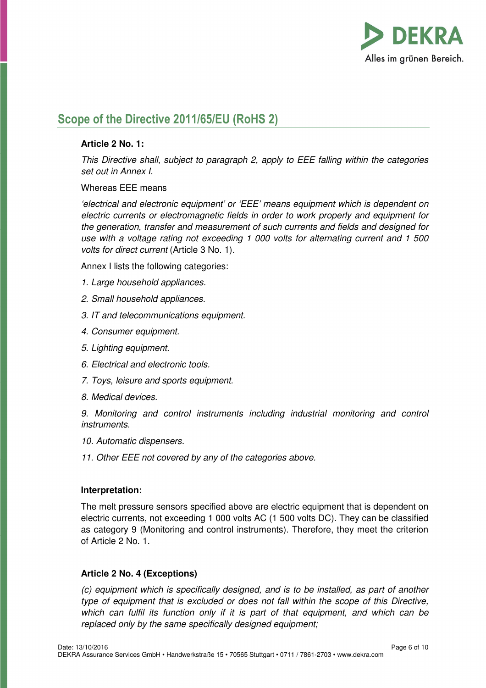

### **Scope of the Directive 2011/65/EU (RoHS 2)**

#### **Article 2 No. 1:**

This Directive shall, subject to paragraph 2, apply to EEE falling within the categories set out in Annex I.

Whereas EEE means

'electrical and electronic equipment' or 'EEE' means equipment which is dependent on electric currents or electromagnetic fields in order to work properly and equipment for the generation, transfer and measurement of such currents and fields and designed for use with a voltage rating not exceeding 1 000 volts for alternating current and 1 500 volts for direct current (Article 3 No. 1).

Annex I lists the following categories:

- 1. Large household appliances.
- 2. Small household appliances.
- 3. IT and telecommunications equipment.
- 4. Consumer equipment.
- 5. Lighting equipment.
- 6. Electrical and electronic tools.
- 7. Toys, leisure and sports equipment.
- 8. Medical devices.

9. Monitoring and control instruments including industrial monitoring and control instruments.

- 10. Automatic dispensers.
- 11. Other EEE not covered by any of the categories above.

#### **Interpretation:**

The melt pressure sensors specified above are electric equipment that is dependent on electric currents, not exceeding 1 000 volts AC (1 500 volts DC). They can be classified as category 9 (Monitoring and control instruments). Therefore, they meet the criterion of Article 2 No. 1.

#### **Article 2 No. 4 (Exceptions)**

(c) equipment which is specifically designed, and is to be installed, as part of another type of equipment that is excluded or does not fall within the scope of this Directive, which can fulfil its function only if it is part of that equipment, and which can be replaced only by the same specifically designed equipment;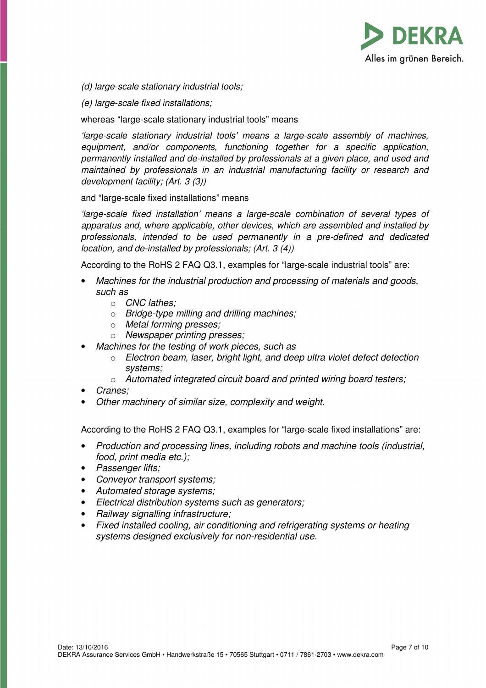

(d) large-scale stationary industrial tools;

(e) large-scale fixed installations;

whereas "large-scale stationary industrial tools" means

'large-scale stationary industrial tools' means a large-scale assembly of machines, equipment, and/or components, functioning together for a specific application, permanently installed and de-installed by professionals at a given place, and used and maintained by professionals in an industrial manufacturing facility or research and development facility; (Art. 3 (3))

and "large-scale fixed installations" means

'large-scale fixed installation' means a large-scale combination of several types of apparatus and, where applicable, other devices, which are assembled and installed by professionals, intended to be used permanently in a pre-defined and dedicated location, and de-installed by professionals; (Art. 3 (4))

According to the RoHS 2 FAQ Q3.1, examples for "large-scale industrial tools" are:

- Machines for the industrial production and processing of materials and goods, such as
	- o CNC lathes;
	- $\circ$  Bridge-type milling and drilling machines;
	- o Metal forming presses;
	- o Newspaper printing presses;
- Machines for the testing of work pieces, such as
	- $\circ$  Electron beam, laser, bright light, and deep ultra violet defect detection systems;
	- o Automated integrated circuit board and printed wiring board testers;
- Cranes;
- Other machinery of similar size, complexity and weight.

According to the RoHS 2 FAQ Q3.1, examples for "large-scale fixed installations" are:

- Production and processing lines, including robots and machine tools (industrial, food, print media etc.);
- Passenger lifts;
- Conveyor transport systems;
- Automated storage systems;
- Electrical distribution systems such as generators;
- Railway signalling infrastructure;
- Fixed installed cooling, air conditioning and refrigerating systems or heating systems designed exclusively for non-residential use.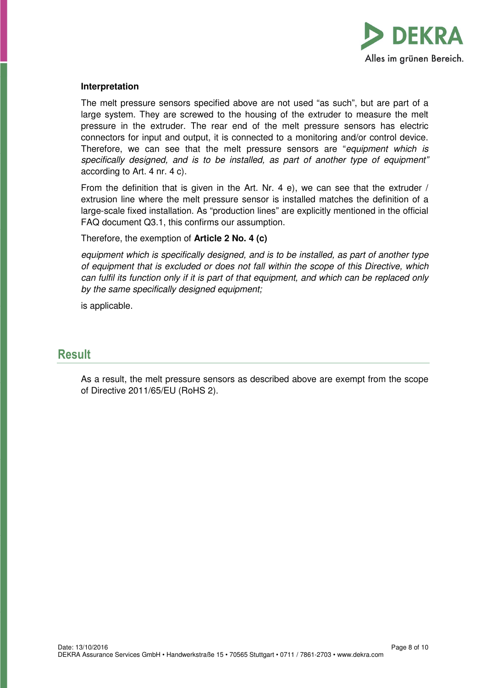

#### **Interpretation**

The melt pressure sensors specified above are not used "as such", but are part of a large system. They are screwed to the housing of the extruder to measure the melt pressure in the extruder. The rear end of the melt pressure sensors has electric connectors for input and output, it is connected to a monitoring and/or control device. Therefore, we can see that the melt pressure sensors are "equipment which is specifically designed, and is to be installed, as part of another type of equipment" according to Art. 4 nr. 4 c).

From the definition that is given in the Art. Nr. 4 e), we can see that the extruder / extrusion line where the melt pressure sensor is installed matches the definition of a large-scale fixed installation. As "production lines" are explicitly mentioned in the official FAQ document Q3.1, this confirms our assumption.

Therefore, the exemption of **Article 2 No. 4 (c)** 

equipment which is specifically designed, and is to be installed, as part of another type of equipment that is excluded or does not fall within the scope of this Directive, which can fulfil its function only if it is part of that equipment, and which can be replaced only by the same specifically designed equipment;

is applicable.

#### **Result**

As a result, the melt pressure sensors as described above are exempt from the scope of Directive 2011/65/EU (RoHS 2).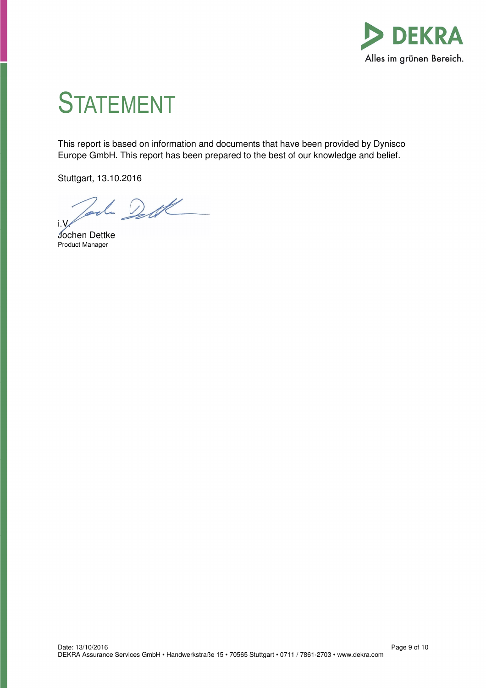

# **STATEMENT**

This report is based on information and documents that have been provided by Dynisco Europe GmbH. This report has been prepared to the best of our knowledge and belief.

Stuttgart, 13.10.2016

Joch Dett i.V.

Jochen Dettke Product Manager